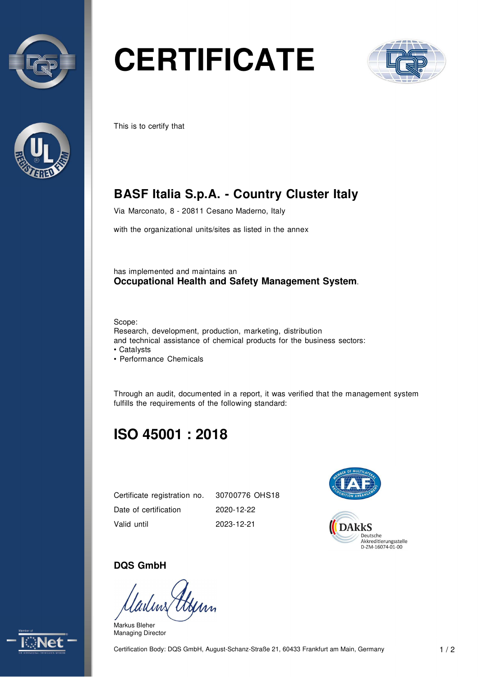



# **CERTIFICATE**



This is to certify that

## **BASF Italia S.p.A. - Country Cluster Italy**

Via Marconato, 8 - 20811 Cesano Maderno, Italy

with the organizational units/sites as listed in the annex

has implemented and maintains an **Occupational Health and Safety Management System**.

Scope:

Research, development, production, marketing, distribution and technical assistance of chemical products for the business sectors: • Catalysts

• Performance Chemicals

Through an audit, documented in a report, it was verified that the management system fulfills the requirements of the following standard:

## **ISO 45001 : 2018**

Certificate registration no. Date of certification Valid until

30700776 OHS18 2020-12-22 2023-12-21



#### **DQS GmbH**